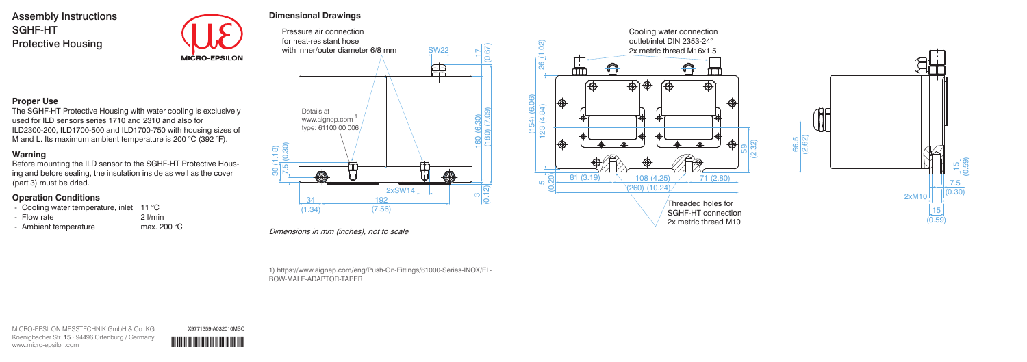### **Proper Use**

The SGHF-HT Protective Housing with water cooling is exclusively used for ILD sensors series 1710 and 2310 and also for ILD2300-200, ILD1700-500 and ILD1700-750 with housing sizes of M and L. Its maximum ambient temperature is 200 °C (392 °F).

- Cooling water temperature, inlet 11 °C
- 
- Flow rate 2 l/min 2 l/min<br>- Ambient temperature 2 max. 200 °C - Ambient temperature

# **Warning**

Before mounting the ILD sensor to the SGHF-HT Protective Housing and before sealing, the insulation inside as well as the cover (part 3) must be dried.

### **Operation Conditions**

Pressure air connection for heat-resistant hose (0.67) with inner/outer diameter 6/8 mm SW22 160 (6.30) 17 鱼 Details at (180) (7.09) www.aignep.com 1type: 61100 00 006 30 (1.18) 7.5 (0.30) (a) 2xSW14  $\frac{3}{12}$ 34 192 (7.56)  $(1.34)$ 

# **Dimensional Drawings**

Dimensions in mm (inches), not to scale

1) https://www.aignep.com/eng/Push-On-Fittings/61000-Series-INOX/EL-BOW-MALE-ADAPTOR-TAPER

Assembly Instructions SGHF-HT Protective Housing



MICRO-EPSILON MESSTECHNIK GmbH & Co. KG Koenigbacher Str. 15 · 94496 Ortenburg / Germany www.micro-epsilon.com \*X9771359-A03\*